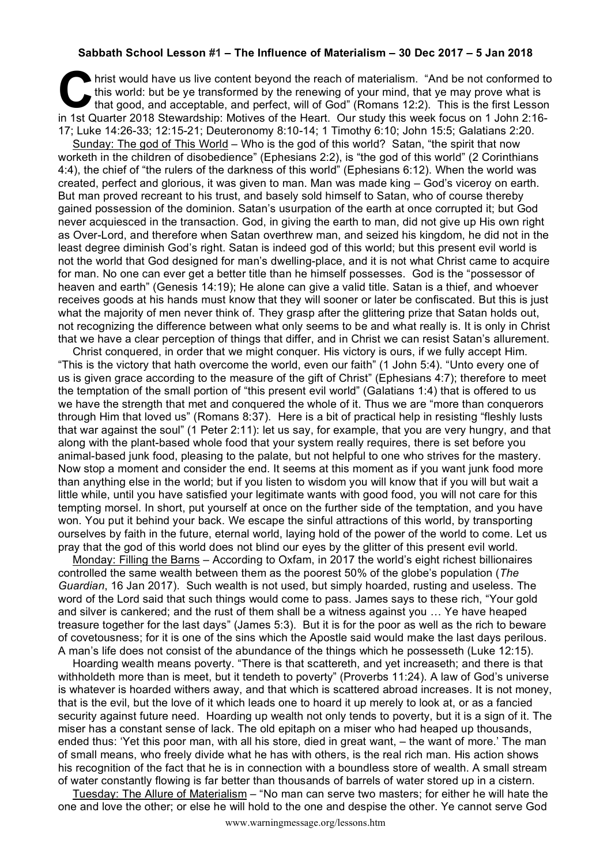## **Sabbath School Lesson #1 – The Influence of Materialism – 30 Dec 2017 – 5 Jan 2018**

hrist would have us live content beyond the reach of materialism. "And be not conformed to this world: but be ye transformed by the renewing of your mind, that ye may prove what is that good, and acceptable, and perfect, will of God" (Romans 12:2). This is the first Lesson In this would have us live content beyond the reach of materialism. "And be not conformed to this world: but be ye transformed by the renewing of your mind, that ye may prove what is that good, and acceptable, and perfect, 17; Luke 14:26-33; 12:15-21; Deuteronomy 8:10-14; 1 Timothy 6:10; John 15:5; Galatians 2:20.

Sunday: The god of This World – Who is the god of this world? Satan, "the spirit that now worketh in the children of disobedience" (Ephesians 2:2), is "the god of this world" (2 Corinthians 4:4), the chief of "the rulers of the darkness of this world" (Ephesians 6:12). When the world was created, perfect and glorious, it was given to man. Man was made king – God's viceroy on earth. But man proved recreant to his trust, and basely sold himself to Satan, who of course thereby gained possession of the dominion. Satan's usurpation of the earth at once corrupted it; but God never acquiesced in the transaction. God, in giving the earth to man, did not give up His own right as Over-Lord, and therefore when Satan overthrew man, and seized his kingdom, he did not in the least degree diminish God's right. Satan is indeed god of this world; but this present evil world is not the world that God designed for man's dwelling-place, and it is not what Christ came to acquire for man. No one can ever get a better title than he himself possesses. God is the "possessor of heaven and earth" (Genesis 14:19); He alone can give a valid title. Satan is a thief, and whoever receives goods at his hands must know that they will sooner or later be confiscated. But this is just what the majority of men never think of. They grasp after the glittering prize that Satan holds out, not recognizing the difference between what only seems to be and what really is. It is only in Christ that we have a clear perception of things that differ, and in Christ we can resist Satan's allurement.

Christ conquered, in order that we might conquer. His victory is ours, if we fully accept Him. "This is the victory that hath overcome the world, even our faith" (1 John 5:4). "Unto every one of us is given grace according to the measure of the gift of Christ" (Ephesians 4:7); therefore to meet the temptation of the small portion of "this present evil world" (Galatians 1:4) that is offered to us we have the strength that met and conquered the whole of it. Thus we are "more than conquerors through Him that loved us" (Romans 8:37). Here is a bit of practical help in resisting "fleshly lusts that war against the soul" (1 Peter 2:11): let us say, for example, that you are very hungry, and that along with the plant-based whole food that your system really requires, there is set before you animal-based junk food, pleasing to the palate, but not helpful to one who strives for the mastery. Now stop a moment and consider the end. It seems at this moment as if you want junk food more than anything else in the world; but if you listen to wisdom you will know that if you will but wait a little while, until you have satisfied your legitimate wants with good food, you will not care for this tempting morsel. In short, put yourself at once on the further side of the temptation, and you have won. You put it behind your back. We escape the sinful attractions of this world, by transporting ourselves by faith in the future, eternal world, laying hold of the power of the world to come. Let us pray that the god of this world does not blind our eyes by the glitter of this present evil world.

Monday: Filling the Barns – According to Oxfam, in 2017 the world's eight richest billionaires controlled the same wealth between them as the poorest 50% of the globe's population (*The Guardian*, 16 Jan 2017). Such wealth is not used, but simply hoarded, rusting and useless. The word of the Lord said that such things would come to pass. James says to these rich, "Your gold and silver is cankered; and the rust of them shall be a witness against you … Ye have heaped treasure together for the last days" (James 5:3). But it is for the poor as well as the rich to beware of covetousness; for it is one of the sins which the Apostle said would make the last days perilous. A man's life does not consist of the abundance of the things which he possesseth (Luke 12:15).

Hoarding wealth means poverty. "There is that scattereth, and yet increaseth; and there is that withholdeth more than is meet, but it tendeth to poverty" (Proverbs 11:24). A law of God's universe is whatever is hoarded withers away, and that which is scattered abroad increases. It is not money, that is the evil, but the love of it which leads one to hoard it up merely to look at, or as a fancied security against future need. Hoarding up wealth not only tends to poverty, but it is a sign of it. The miser has a constant sense of lack. The old epitaph on a miser who had heaped up thousands, ended thus: 'Yet this poor man, with all his store, died in great want, – the want of more.' The man of small means, who freely divide what he has with others, is the real rich man. His action shows his recognition of the fact that he is in connection with a boundless store of wealth. A small stream of water constantly flowing is far better than thousands of barrels of water stored up in a cistern.

Tuesday: The Allure of Materialism – "No man can serve two masters; for either he will hate the one and love the other; or else he will hold to the one and despise the other. Ye cannot serve God